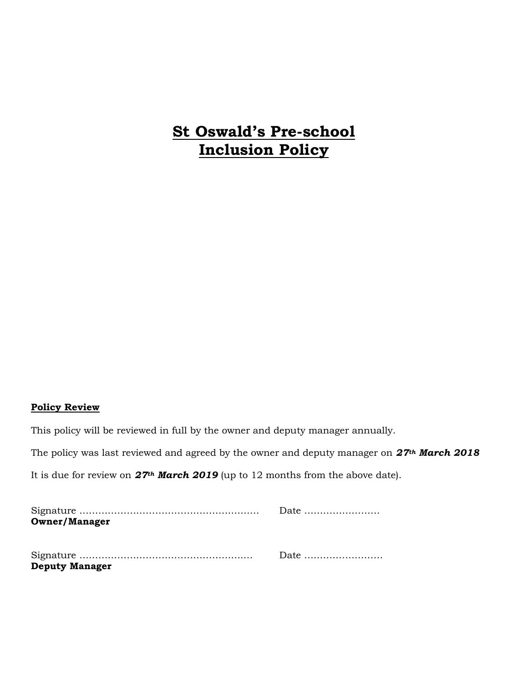# **St Oswald's Pre-school Inclusion Policy**

#### **Policy Review**

This policy will be reviewed in full by the owner and deputy manager annually.

The policy was last reviewed and agreed by the owner and deputy manager on *27th March 2018*

It is due for review on *27th March 2019* (up to 12 months from the above date).

|                       | Date |
|-----------------------|------|
| <b>Owner/Manager</b>  |      |
|                       |      |
|                       |      |
|                       |      |
| <b>Deputy Manager</b> |      |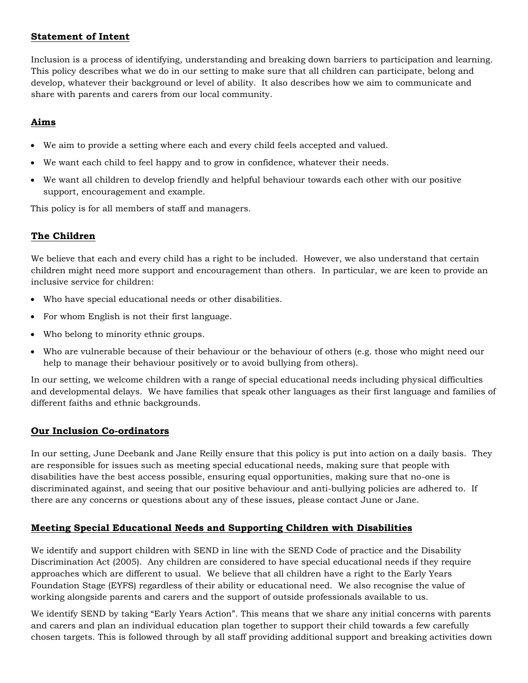#### **Statement of Intent**

Inclusion is a process of identifying, understanding and breaking down barriers to participation and learning. This policy describes what we do in our setting to make sure that all children can participate, belong and develop, whatever their background or level of ability. It also describes how we aim to communicate and share with parents and carers from our local community.

# **Aims**

- We aim to provide a setting where each and every child feels accepted and valued.
- We want each child to feel happy and to grow in confidence, whatever their needs.
- We want all children to develop friendly and helpful behaviour towards each other with our positive support, encouragement and example.

This policy is for all members of staff and managers.

# **The Children**

We believe that each and every child has a right to be included. However, we also understand that certain children might need more support and encouragement than others. In particular, we are keen to provide an inclusive service for children:

- Who have special educational needs or other disabilities.
- For whom English is not their first language.
- Who belong to minority ethnic groups.
- Who are vulnerable because of their behaviour or the behaviour of others (e.g. those who might need our help to manage their behaviour positively or to avoid bullying from others).

In our setting, we welcome children with a range of special educational needs including physical difficulties and developmental delays. We have families that speak other languages as their first language and families of different faiths and ethnic backgrounds.

# **Our Inclusion Co-ordinators**

In our setting, June Deebank and Jane Reilly ensure that this policy is put into action on a daily basis. They are responsible for issues such as meeting special educational needs, making sure that people with disabilities have the best access possible, ensuring equal opportunities, making sure that no-one is discriminated against, and seeing that our positive behaviour and anti-bullying policies are adhered to. If there are any concerns or questions about any of these issues, please contact June or Jane.

# **Meeting Special Educational Needs and Supporting Children with Disabilities**

We identify and support children with SEND in line with the SEND Code of practice and the Disability Discrimination Act (2005). Any children are considered to have special educational needs if they require approaches which are different to usual. We believe that all children have a right to the Early Years Foundation Stage (EYFS) regardless of their ability or educational need. We also recognise the value of working alongside parents and carers and the support of outside professionals available to us.

We identify SEND by taking "Early Years Action". This means that we share any initial concerns with parents and carers and plan an individual education plan together to support their child towards a few carefully chosen targets. This is followed through by all staff providing additional support and breaking activities down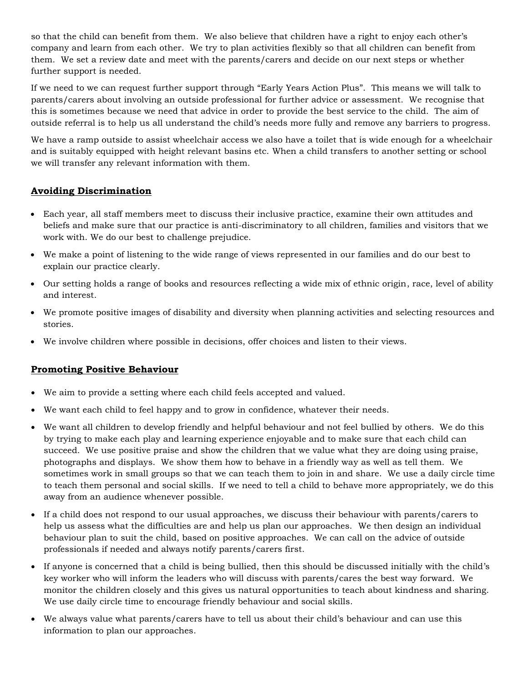so that the child can benefit from them. We also believe that children have a right to enjoy each other's company and learn from each other. We try to plan activities flexibly so that all children can benefit from them. We set a review date and meet with the parents/carers and decide on our next steps or whether further support is needed.

If we need to we can request further support through "Early Years Action Plus". This means we will talk to parents/carers about involving an outside professional for further advice or assessment. We recognise that this is sometimes because we need that advice in order to provide the best service to the child. The aim of outside referral is to help us all understand the child's needs more fully and remove any barriers to progress.

We have a ramp outside to assist wheelchair access we also have a toilet that is wide enough for a wheelchair and is suitably equipped with height relevant basins etc. When a child transfers to another setting or school we will transfer any relevant information with them.

# **Avoiding Discrimination**

- Each year, all staff members meet to discuss their inclusive practice, examine their own attitudes and beliefs and make sure that our practice is anti-discriminatory to all children, families and visitors that we work with. We do our best to challenge prejudice.
- We make a point of listening to the wide range of views represented in our families and do our best to explain our practice clearly.
- Our setting holds a range of books and resources reflecting a wide mix of ethnic origin, race, level of ability and interest.
- We promote positive images of disability and diversity when planning activities and selecting resources and stories.
- We involve children where possible in decisions, offer choices and listen to their views.

# **Promoting Positive Behaviour**

- We aim to provide a setting where each child feels accepted and valued.
- We want each child to feel happy and to grow in confidence, whatever their needs.
- We want all children to develop friendly and helpful behaviour and not feel bullied by others. We do this by trying to make each play and learning experience enjoyable and to make sure that each child can succeed. We use positive praise and show the children that we value what they are doing using praise, photographs and displays. We show them how to behave in a friendly way as well as tell them. We sometimes work in small groups so that we can teach them to join in and share. We use a daily circle time to teach them personal and social skills. If we need to tell a child to behave more appropriately, we do this away from an audience whenever possible.
- If a child does not respond to our usual approaches, we discuss their behaviour with parents/carers to help us assess what the difficulties are and help us plan our approaches. We then design an individual behaviour plan to suit the child, based on positive approaches. We can call on the advice of outside professionals if needed and always notify parents/carers first.
- If anyone is concerned that a child is being bullied, then this should be discussed initially with the child's key worker who will inform the leaders who will discuss with parents/cares the best way forward. We monitor the children closely and this gives us natural opportunities to teach about kindness and sharing. We use daily circle time to encourage friendly behaviour and social skills.
- We always value what parents/carers have to tell us about their child's behaviour and can use this information to plan our approaches.